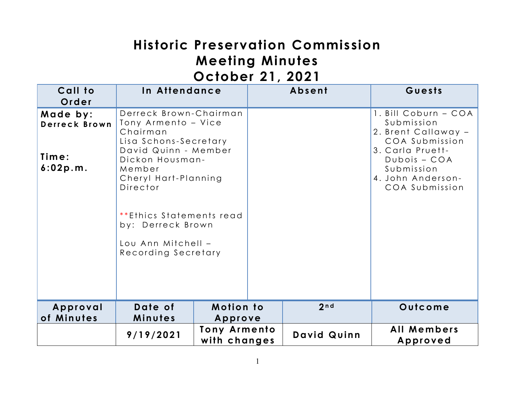# **Historic Preservation Commission Meeting Minutes October 21, 2021**

| Call to<br>Order                               | In Attendance                                                                                                                                                                                                                                                             |                                     | Absent      | Guests                                                                                                                                                                 |
|------------------------------------------------|---------------------------------------------------------------------------------------------------------------------------------------------------------------------------------------------------------------------------------------------------------------------------|-------------------------------------|-------------|------------------------------------------------------------------------------------------------------------------------------------------------------------------------|
| Made by:<br>Derreck Brown<br>Time:<br>6:02p.m. | Derreck Brown-Chairman<br>Tony Armento - Vice<br>Chairman<br>Lisa Schons-Secretary<br>David Quinn - Member<br>Dickon Housman-<br>Member<br>Cheryl Hart-Planning<br>Director<br>**Ethics Statements read<br>by: Derreck Brown<br>Lou Ann Mitchell -<br>Recording Secretary |                                     |             | 1. Bill Coburn - COA<br>Submission<br>2. Brent Callaway -<br>COA Submission<br>3. Carla Pruett-<br>$Dubois - COA$<br>Submission<br>4. John Anderson-<br>COA Submission |
| Approval<br>of Minutes                         | Date of<br>Minutes                                                                                                                                                                                                                                                        | <b>Motion to</b><br>Approve         | 2nd         | Outcome                                                                                                                                                                |
|                                                | 9/19/2021                                                                                                                                                                                                                                                                 | <b>Tony Armento</b><br>with changes | David Quinn | All Members<br>Approved                                                                                                                                                |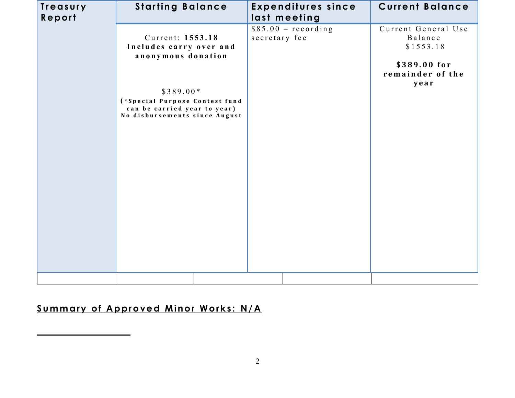| Treasury<br>Report | <b>Starting Balance</b>                                                                                                                                                            |               | <b>Expenditures since</b><br>last meeting | <b>Current Balance</b>                                                                  |
|--------------------|------------------------------------------------------------------------------------------------------------------------------------------------------------------------------------|---------------|-------------------------------------------|-----------------------------------------------------------------------------------------|
|                    | Current: 1553.18<br>Includes carry over and<br>anonymous donation<br>$$389.00*$<br>(*Special Purpose Contest fund<br>can be carried year to year)<br>No disbursements since August | secretary fee | $$85.00 - recording$                      | Current General Use<br>Balance<br>\$1553.18<br>\$389.00 for<br>remainder of the<br>year |
|                    |                                                                                                                                                                                    |               |                                           |                                                                                         |

## **Summary of Approved Minor Works: N/A**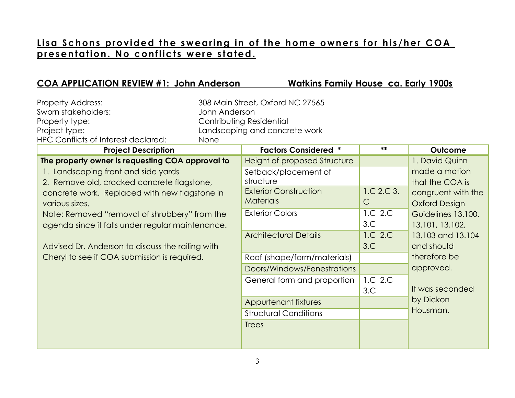#### Lisa Schons provided the swearing in of the home owners for his/her COA presentation. No conflicts were stated.

| 308 Main Street, Oxford NC 27565<br><b>Property Address:</b><br>Sworn stakeholders:<br>John Anderson<br>Contributing Residential<br>Property type:<br>Project type:<br>Landscaping and concrete work<br>HPC Conflicts of Interest declared:<br>None                                                                                                                                                                                                                                                                                                                                                                                                                                                                                                                       |                                                                                  |                                                                                                                                                                                                                                                       |
|---------------------------------------------------------------------------------------------------------------------------------------------------------------------------------------------------------------------------------------------------------------------------------------------------------------------------------------------------------------------------------------------------------------------------------------------------------------------------------------------------------------------------------------------------------------------------------------------------------------------------------------------------------------------------------------------------------------------------------------------------------------------------|----------------------------------------------------------------------------------|-------------------------------------------------------------------------------------------------------------------------------------------------------------------------------------------------------------------------------------------------------|
| <b>Factors Considered *</b><br><b>Project Description</b>                                                                                                                                                                                                                                                                                                                                                                                                                                                                                                                                                                                                                                                                                                                 | **                                                                               | Outcome                                                                                                                                                                                                                                               |
| Height of proposed Structure<br>The property owner is requesting COA approval to<br>1. Landscaping front and side yards<br>Setback/placement of<br>structure<br>2. Remove old, cracked concrete flagstone,<br><b>Exterior Construction</b><br>concrete work. Replaced with new flagstone in<br><b>Materials</b><br>various sizes.<br><b>Exterior Colors</b><br>Note: Removed "removal of shrubbery" from the<br>agenda since it falls under regular maintenance.<br><b>Architectural Details</b><br>Advised Dr. Anderson to discuss the railing with<br>Cheryl to see if COA submission is required.<br>Roof (shape/form/materials)<br>Doors/Windows/Fenestrations<br>General form and proportion<br>Appurtenant fixtures<br><b>Structural Conditions</b><br><b>Trees</b> | 1.C.2.C.3.<br>$\mathsf{C}$<br>1.C 2.C<br>3.C<br>1.C 2.C<br>3.C<br>1.C 2.C<br>3.C | 1. David Quinn<br>made a motion<br>that the COA is<br>congruent with the<br><b>Oxford Design</b><br>Guidelines 13.100,<br>13.101, 13.102,<br>13.103 and 13.104<br>and should<br>therefore be<br>approved.<br>It was seconded<br>by Dickon<br>Housman. |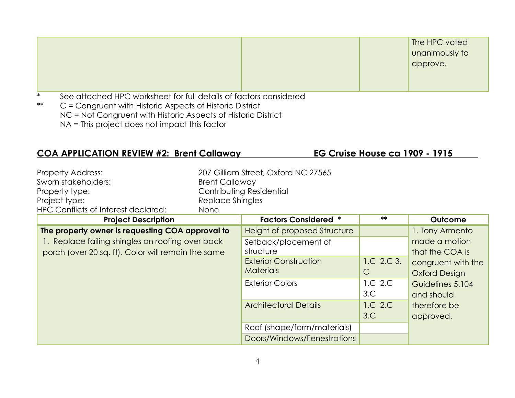|        |                                                                   |  | The HPC voted<br>unanimously to<br>approve. |
|--------|-------------------------------------------------------------------|--|---------------------------------------------|
| $\ast$ | See attached HPC worksheet for full details of factors considered |  |                                             |

## **COA APPLICATION REVIEW #2: Brent Callaway EG Cruise House ca 1909 - 1915**

| <b>Project Description</b>          |                       | <b>Factors Considered *</b>         | ** | Outcome |
|-------------------------------------|-----------------------|-------------------------------------|----|---------|
| HPC Conflicts of Interest declared: | <b>None</b>           |                                     |    |         |
| Project type:                       | Replace Shingles      |                                     |    |         |
| Property type:                      |                       | Contributing Residential            |    |         |
| Sworn stakeholders:                 | <b>Brent Callaway</b> |                                     |    |         |
| Property Address:                   |                       | 207 Gilliam Street, Oxford NC 27565 |    |         |

| 1.01                                               | . 96.1913 89.191961          |              | ------               |
|----------------------------------------------------|------------------------------|--------------|----------------------|
| The property owner is requesting COA approval to   | Height of proposed Structure |              | 1. Tony Armento      |
| 1. Replace failing shingles on roofing over back   | Setback/placement of         |              | made a motion        |
| porch (over 20 sq. ft). Color will remain the same | structure                    |              | that the COA is      |
|                                                    | <b>Exterior Construction</b> | 1.C. 2.C. 3. | congruent with the   |
|                                                    | <b>Materials</b>             | С            | <b>Oxford Design</b> |
|                                                    | <b>Exterior Colors</b>       | 1.C 2.C      | Guidelines 5.104     |
|                                                    |                              | 3.C          | and should           |
|                                                    | <b>Architectural Details</b> | 1.C 2.C      | therefore be         |
|                                                    |                              | 3.C          | approved.            |
|                                                    | Roof (shape/form/materials)  |              |                      |
|                                                    | Doors/Windows/Fenestrations  |              |                      |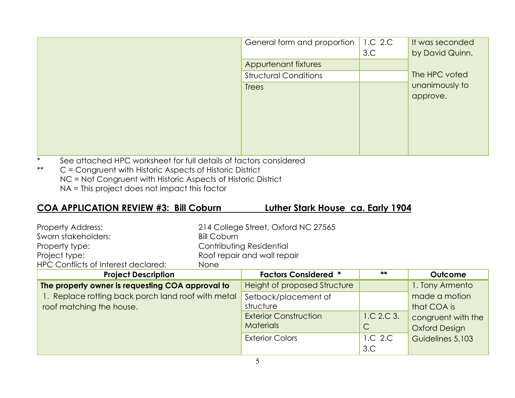|        |                                                                   | General form and proportion  | 1.C 2.C<br>3.C | It was seconded<br>by David Quinn. |
|--------|-------------------------------------------------------------------|------------------------------|----------------|------------------------------------|
|        |                                                                   | Appurtenant fixtures         |                |                                    |
|        |                                                                   | <b>Structural Conditions</b> |                | The HPC voted                      |
|        |                                                                   | <b>Trees</b>                 |                | unanimously to<br>approve.         |
| $\ast$ | See attached HPC worksheet for full details of factors considered |                              |                |                                    |

## **COA APPLICATION REVIEW #3: Bill Coburn Luther Stark House ca. Early 1904**

| <b>Property Address:</b>            | 214 College Street, Oxford NC 27565 |
|-------------------------------------|-------------------------------------|
| Sworn stakeholders:                 | Bill Coburn                         |
| Property type:                      | Contributing Residential            |
| Project type:                       | Roof repair and wall repair         |
| HPC Conflicts of Interest declared: | <b>None</b>                         |

| <b>Project Description</b>                         | <b>Factors Considered *</b>         | **         | Outcome              |
|----------------------------------------------------|-------------------------------------|------------|----------------------|
| The property owner is requesting COA approval to   | <b>Height of proposed Structure</b> |            | 1. Tony Armento      |
| 1. Replace rotting back porch land roof with metal | Setback/placement of                |            | made a motion        |
| roof matching the house.                           | structure                           |            | that COA is          |
|                                                    | <b>Exterior Construction</b>        | 1.C.2.C.3. | congruent with the   |
|                                                    | <b>Materials</b>                    | C          | <b>Oxford Design</b> |
|                                                    | <b>Exterior Colors</b>              | 1.C 2.C    | Guidelines 5.103     |
|                                                    |                                     | 3.C        |                      |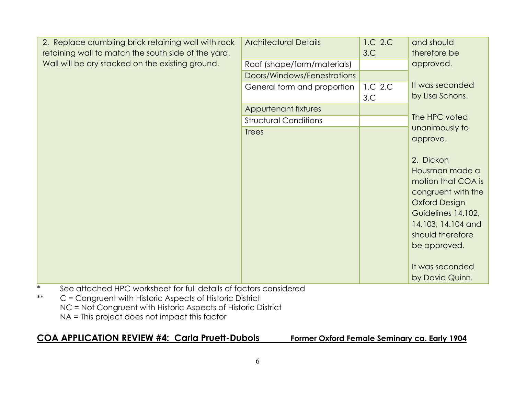| 2. Replace crumbling brick retaining wall with rock               | <b>Architectural Details</b> | 1.C 2.C | and should           |
|-------------------------------------------------------------------|------------------------------|---------|----------------------|
| retaining wall to match the south side of the yard.               |                              | 3.C     | therefore be         |
| Wall will be dry stacked on the existing ground.                  | Roof (shape/form/materials)  |         | approved.            |
|                                                                   | Doors/Windows/Fenestrations  |         |                      |
|                                                                   | General form and proportion  | 1.C 2.C | It was seconded      |
|                                                                   |                              | 3.C     | by Lisa Schons.      |
|                                                                   | Appurtenant fixtures         |         |                      |
|                                                                   | <b>Structural Conditions</b> |         | The HPC voted        |
|                                                                   | <b>Trees</b>                 |         | unanimously to       |
|                                                                   |                              |         | approve.             |
|                                                                   |                              |         |                      |
|                                                                   |                              |         | 2. Dickon            |
|                                                                   |                              |         | Housman made a       |
|                                                                   |                              |         | motion that COA is   |
|                                                                   |                              |         | congruent with the   |
|                                                                   |                              |         | <b>Oxford Design</b> |
|                                                                   |                              |         | Guidelines 14.102,   |
|                                                                   |                              |         | 14.103, 14.104 and   |
|                                                                   |                              |         | should therefore     |
|                                                                   |                              |         | be approved.         |
|                                                                   |                              |         |                      |
|                                                                   |                              |         | It was seconded      |
|                                                                   |                              |         | by David Quinn.      |
| See attached HPC worksheet for full details of factors considered |                              |         |                      |

## **COA APPLICATION REVIEW #4: Carla Pruett-Dubois Former Oxford Female Seminary ca. Early 1904**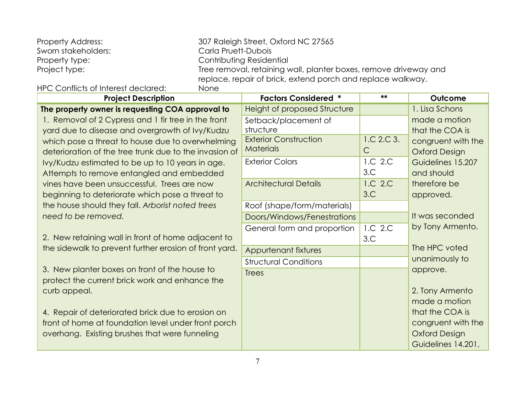| <b>Property Address:</b>            | 307 Raleigh Street, Oxford NC 27565                                                                                             |
|-------------------------------------|---------------------------------------------------------------------------------------------------------------------------------|
| Sworn stakeholders:                 | Carla Pruett-Dubois                                                                                                             |
| Property type:                      | Contributing Residential                                                                                                        |
| Project type:                       | Tree removal, retaining wall, planter boxes, remove driveway and<br>replace, repair of brick, extend porch and replace walkway. |
| HPC Conflicts of Interest declared: | None                                                                                                                            |

| <b>Project Description</b>                             | <b>Factors Considered *</b>  | **           | Outcome              |
|--------------------------------------------------------|------------------------------|--------------|----------------------|
| The property owner is requesting COA approval to       | Height of proposed Structure |              | 1. Lisa Schons       |
| 1. Removal of 2 Cypress and 1 fir tree in the front    | Setback/placement of         |              | made a motion        |
| yard due to disease and overgrowth of Ivy/Kudzu        | structure                    |              | that the COA is      |
| which pose a threat to house due to overwhelming       | <b>Exterior Construction</b> | 1.C.2.C.3.   | congruent with the   |
| deterioration of the tree trunk due to the invasion of | <b>Materials</b>             | $\mathsf{C}$ | <b>Oxford Design</b> |
| Ivy/Kudzu estimated to be up to 10 years in age.       | <b>Exterior Colors</b>       | 1.C 2.C      | Guidelines 15.207    |
| Attempts to remove entangled and embedded              |                              | 3.C          | and should           |
| vines have been unsuccessful. Trees are now            | <b>Architectural Details</b> | 1.C 2.C      | therefore be         |
| beginning to deteriorate which pose a threat to        |                              | 3.C          | approved.            |
| the house should they fall. Arborist noted trees       | Roof (shape/form/materials)  |              |                      |
| need to be removed.                                    | Doors/Windows/Fenestrations  |              | It was seconded      |
|                                                        | General form and proportion  | 1.C 2.C      | by Tony Armento.     |
| 2. New retaining wall in front of home adjacent to     |                              | 3.C          |                      |
| the sidewalk to prevent further erosion of front yard. | Appurtenant fixtures         |              | The HPC voted        |
|                                                        | <b>Structural Conditions</b> |              | unanimously to       |
| 3. New planter boxes on front of the house to          | <b>Trees</b>                 |              | approve.             |
| protect the current brick work and enhance the         |                              |              |                      |
| curb appeal.                                           |                              |              | 2. Tony Armento      |
|                                                        |                              |              | made a motion        |
| 4. Repair of deteriorated brick due to erosion on      |                              |              | that the COA is      |
| front of home at foundation level under front porch    |                              |              | congruent with the   |
| overhang. Existing brushes that were funneling         |                              |              | <b>Oxford Design</b> |
|                                                        |                              |              | Guidelines 14.201,   |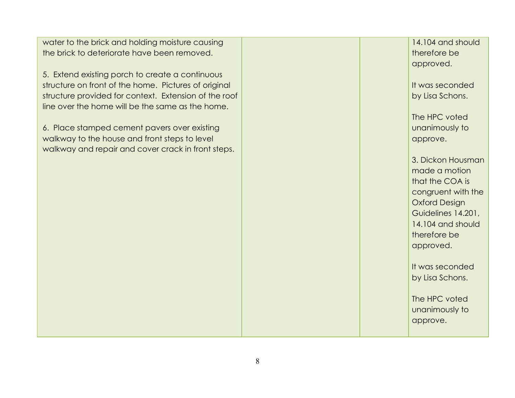water to the brick and holding moisture causing the brick to deteriorate have been removed.

5. Extend existing porch to create a continuous structure on front of the home. Pictures of original structure provided for context. Extension of the roof line over the home will be the same as the home.

6. Place stamped cement pavers over existing walkway to the house and front steps to level walkway and repair and cover crack in front steps.

14.104 and should therefore be approved.

It was seconded by Lisa Schons.

The HPC voted unanimously to approve.

3. Dickon Housman made a motion that the COA is congruent with the Oxford Design Guidelines 14.201, 14.104 and should therefore be approved.

It was seconded by Lisa Schons.

The HPC voted unanimously to approve.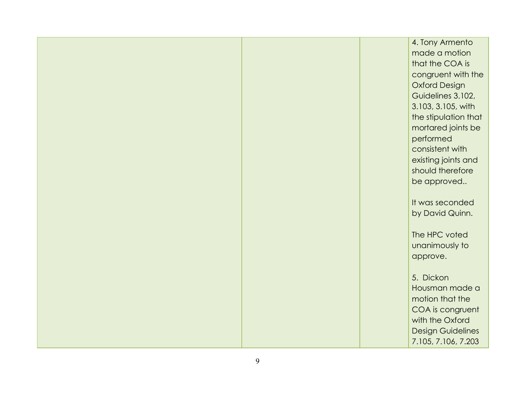|  | 4. Tony Armento          |
|--|--------------------------|
|  | made a motion            |
|  | that the COA is          |
|  | congruent with the       |
|  | <b>Oxford Design</b>     |
|  | Guidelines 3.102,        |
|  | 3.103, 3.105, with       |
|  | the stipulation that     |
|  | mortared joints be       |
|  | performed                |
|  | consistent with          |
|  | existing joints and      |
|  | should therefore         |
|  | be approved              |
|  |                          |
|  | It was seconded          |
|  | by David Quinn.          |
|  |                          |
|  | The HPC voted            |
|  | unanimously to           |
|  | approve.                 |
|  |                          |
|  | 5. Dickon                |
|  | Housman made a           |
|  | motion that the          |
|  | COA is congruent         |
|  | with the Oxford          |
|  | <b>Design Guidelines</b> |
|  | 7.105, 7.106, 7.203      |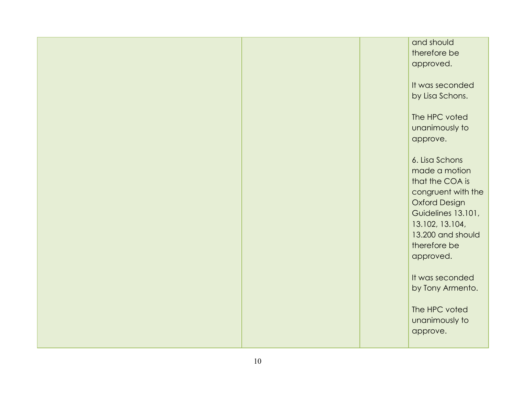|  | and should           |
|--|----------------------|
|  | therefore be         |
|  | approved.            |
|  |                      |
|  | It was seconded      |
|  |                      |
|  | by Lisa Schons.      |
|  |                      |
|  | The HPC voted        |
|  | unanimously to       |
|  | approve.             |
|  |                      |
|  | 6. Lisa Schons       |
|  | made a motion        |
|  | that the COA is      |
|  | congruent with the   |
|  | <b>Oxford Design</b> |
|  | Guidelines 13.101,   |
|  |                      |
|  | 13.102, 13.104,      |
|  | 13.200 and should    |
|  | therefore be         |
|  | approved.            |
|  |                      |
|  | It was seconded      |
|  | by Tony Armento.     |
|  |                      |
|  | The HPC voted        |
|  | unanimously to       |
|  | approve.             |
|  |                      |
|  |                      |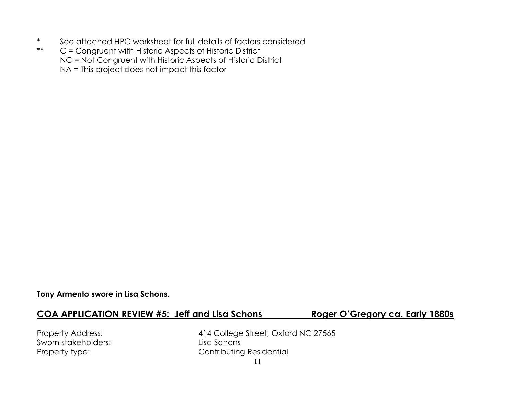- \* See attached HPC worksheet for full details of factors considered<br>\*\*  $C =$  Congruent with Historic Aspects of Historic District
- C = Congruent with Historic Aspects of Historic District NC = Not Congruent with Historic Aspects of Historic District NA = This project does not impact this factor

#### **Tony Armento swore in Lisa Schons.**

#### **COA APPLICATION REVIEW #5: Jeff and Lisa Schons Roger O'Gregory ca. Early 1880s**

Sworn stakeholders: Lisa Schons

Property Address: 414 College Street, Oxford NC 27565 Property type: Contributing Residential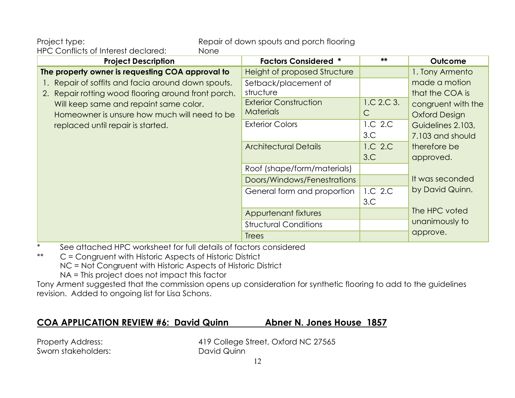Project type: repair of down spouts and porch flooring

HPC Conflicts of Interest declared: None

| <b>Project Description</b>                          | <b>Factors Considered *</b>         | $**$       | Outcome              |
|-----------------------------------------------------|-------------------------------------|------------|----------------------|
| The property owner is requesting COA approval to    | <b>Height of proposed Structure</b> |            | 1. Tony Armento      |
| Repair of soffits and facia around down spouts.     | Setback/placement of                |            | made a motion        |
| 2. Repair rotting wood flooring around front porch. | structure                           |            | that the COA is      |
| Will keep same and repaint same color.              | <b>Exterior Construction</b>        | 1.C.2.C.3. | congruent with the   |
| Homeowner is unsure how much will need to be        | <b>Materials</b>                    | C          | <b>Oxford Design</b> |
| replaced until repair is started.                   | <b>Exterior Colors</b>              | 1.C 2.C    | Guidelines 2.103,    |
|                                                     |                                     | 3.C.       | 7.103 and should     |
|                                                     | <b>Architectural Details</b>        | 1.C 2.C    | therefore be         |
|                                                     |                                     | 3.C        | approved.            |
|                                                     | Roof (shape/form/materials)         |            |                      |
|                                                     | Doors/Windows/Fenestrations         |            | It was seconded      |
|                                                     | General form and proportion         | 1.C 2.C    | by David Quinn.      |
|                                                     |                                     | 3.C        |                      |
|                                                     | Appurtenant fixtures                |            | The HPC voted        |
|                                                     | <b>Structural Conditions</b>        |            | unanimously to       |
|                                                     | <b>Trees</b>                        |            | approve.             |

\* See attached HPC worksheet for full details of factors considered

\*\* C = Congruent with Historic Aspects of Historic District

NC = Not Congruent with Historic Aspects of Historic District

NA = This project does not impact this factor

Tony Arment suggested that the commission opens up consideration for synthetic flooring to add to the guidelines revision. Added to ongoing list for Lisa Schons.

#### **COA APPLICATION REVIEW #6: David Quinn Abner N. Jones House 1857**

Sworn stakeholders: David Quinn

Property Address: 419 College Street, Oxford NC 27565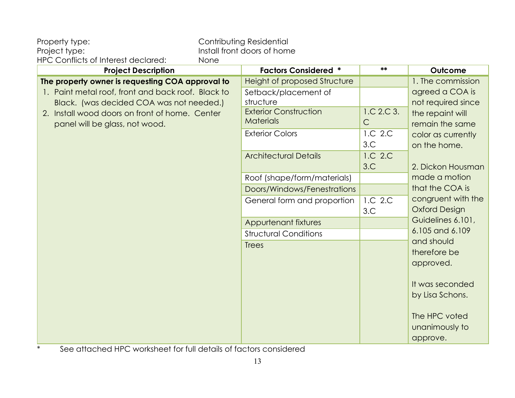| Property type:                                     |      | Contributing Residential     |              |                      |
|----------------------------------------------------|------|------------------------------|--------------|----------------------|
| Project type:                                      |      | Install front doors of home  |              |                      |
| HPC Conflicts of Interest declared:                | None |                              | **           |                      |
| <b>Project Description</b>                         |      | <b>Factors Considered *</b>  |              | Outcome              |
| The property owner is requesting COA approval to   |      | Height of proposed Structure |              | 1. The commission    |
| 1. Paint metal roof, front and back roof. Black to |      | Setback/placement of         |              | agreed a COA is      |
| Black. (was decided COA was not needed.)           |      | structure                    |              | not required since   |
| 2. Install wood doors on front of home. Center     |      | <b>Exterior Construction</b> | 1.C 2.C 3.   | the repaint will     |
| panel will be glass, not wood.                     |      | <b>Materials</b>             | $\mathsf{C}$ | remain the same      |
|                                                    |      | <b>Exterior Colors</b>       | 1.C 2.C      | color as currently   |
|                                                    |      |                              | 3.C          | on the home.         |
|                                                    |      | <b>Architectural Details</b> | 1.C 2.C      |                      |
|                                                    |      |                              | 3.C          | 2. Dickon Housman    |
|                                                    |      | Roof (shape/form/materials)  |              | made a motion        |
|                                                    |      | Doors/Windows/Fenestrations  |              | that the COA is      |
|                                                    |      | General form and proportion  | 1.C 2.C      | congruent with the   |
|                                                    |      |                              | 3.C          | <b>Oxford Design</b> |
|                                                    |      | <b>Appurtenant fixtures</b>  |              | Guidelines 6.101,    |
|                                                    |      | <b>Structural Conditions</b> |              | 6.105 and 6.109      |
|                                                    |      | <b>Trees</b>                 |              | and should           |
|                                                    |      |                              |              | therefore be         |
|                                                    |      |                              |              | approved.            |
|                                                    |      |                              |              |                      |
|                                                    |      |                              |              | It was seconded      |
|                                                    |      |                              |              | by Lisa Schons.      |
|                                                    |      |                              |              |                      |
|                                                    |      |                              |              | The HPC voted        |
|                                                    |      |                              |              | unanimously to       |
|                                                    |      |                              |              | approve.             |

\* See attached HPC worksheet for full details of factors considered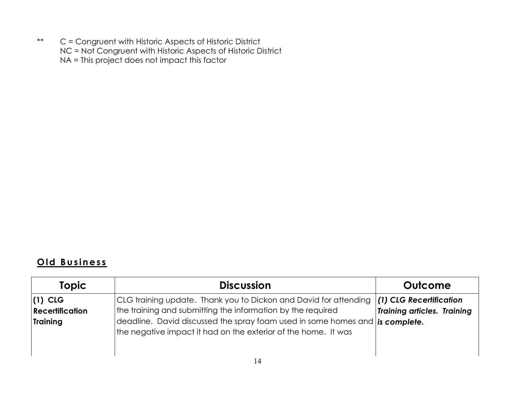#### **O ld B u s in es s**

| <b>Topic</b>                                    | <b>Discussion</b>                                                                                                                                                                                                                                                                 | Outcome                                                       |
|-------------------------------------------------|-----------------------------------------------------------------------------------------------------------------------------------------------------------------------------------------------------------------------------------------------------------------------------------|---------------------------------------------------------------|
| $(1)$ CLG<br><b>Recertification</b><br>Training | CLG training update. Thank you to Dickon and David for attending<br>the training and submitting the information by the required<br>deadline. David discussed the spray foam used in some homes and is complete.<br>the negative impact it had on the exterior of the home. It was | (1) CLG Recertification<br><b>Training articles. Training</b> |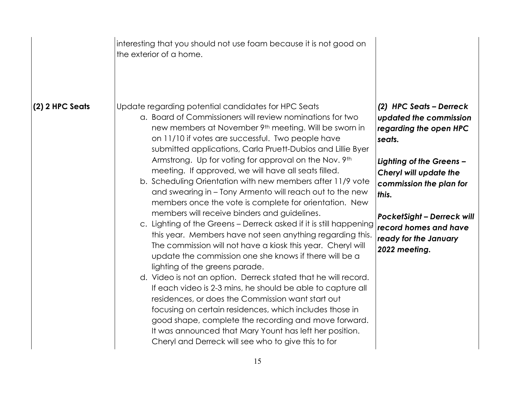|                 | interesting that you should not use foam because it is not good on<br>the exterior of a home.                                                                                                                                                                                                                                                                                                                                                                                                                                                                                                                                                                                                                                                                                                                                                                                                                                                                                                                                                                                                                                                                                                                                                                                                                                                                               |                                                                                                                                                                                                                                                                                         |
|-----------------|-----------------------------------------------------------------------------------------------------------------------------------------------------------------------------------------------------------------------------------------------------------------------------------------------------------------------------------------------------------------------------------------------------------------------------------------------------------------------------------------------------------------------------------------------------------------------------------------------------------------------------------------------------------------------------------------------------------------------------------------------------------------------------------------------------------------------------------------------------------------------------------------------------------------------------------------------------------------------------------------------------------------------------------------------------------------------------------------------------------------------------------------------------------------------------------------------------------------------------------------------------------------------------------------------------------------------------------------------------------------------------|-----------------------------------------------------------------------------------------------------------------------------------------------------------------------------------------------------------------------------------------------------------------------------------------|
| (2) 2 HPC Seats | Update regarding potential candidates for HPC Seats<br>a. Board of Commissioners will review nominations for two<br>new members at November 9th meeting. Will be sworn in<br>on 11/10 if votes are successful. Two people have<br>submitted applications, Carla Pruett-Dubios and Lillie Byer<br>Armstrong. Up for voting for approval on the Nov. 9th<br>meeting. If approved, we will have all seats filled.<br>b. Scheduling Orientation with new members after 11/9 vote<br>and swearing in – Tony Armento will reach out to the new<br>members once the vote is complete for orientation. New<br>members will receive binders and guidelines.<br>c. Lighting of the Greens - Derreck asked if it is still happening<br>this year. Members have not seen anything regarding this.<br>The commission will not have a kiosk this year. Cheryl will<br>update the commission one she knows if there will be a<br>lighting of the greens parade.<br>d. Video is not an option. Derreck stated that he will record.<br>If each video is 2-3 mins, he should be able to capture all<br>residences, or does the Commission want start out<br>focusing on certain residences, which includes those in<br>good shape, complete the recording and move forward.<br>It was announced that Mary Yount has left her position.<br>Cheryl and Derreck will see who to give this to for | (2) HPC Seats - Derreck<br>updated the commission<br>regarding the open HPC<br>seats.<br>Lighting of the Greens -<br>Cheryl will update the<br>commission the plan for<br>this.<br><b>PocketSight - Derreck will</b><br>record homes and have<br>ready for the January<br>2022 meeting. |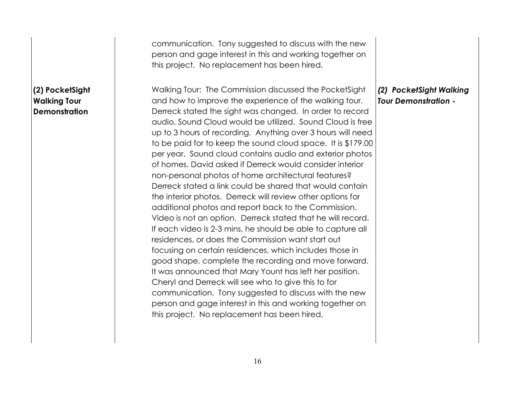|                                                                | communication. Tony suggested to discuss with the new<br>person and gage interest in this and working together on<br>this project. No replacement has been hired.                                                                                                                                                                                                                                                                                                                                                                                                                                                                                                                                                                                                                                                                                                                                                                                                                      |  |
|----------------------------------------------------------------|----------------------------------------------------------------------------------------------------------------------------------------------------------------------------------------------------------------------------------------------------------------------------------------------------------------------------------------------------------------------------------------------------------------------------------------------------------------------------------------------------------------------------------------------------------------------------------------------------------------------------------------------------------------------------------------------------------------------------------------------------------------------------------------------------------------------------------------------------------------------------------------------------------------------------------------------------------------------------------------|--|
| (2) PocketSight<br><b>Walking Tour</b><br><b>Demonstration</b> | Walking Tour: The Commission discussed the PocketSight<br>(2) PocketSight Walking<br>and how to improve the experience of the walking tour.<br><b>Tour Demonstration -</b><br>Derreck stated the sight was changed. In order to record<br>audio, Sound Cloud would be utilized. Sound Cloud is free<br>up to 3 hours of recording. Anything over 3 hours will need<br>to be paid for to keep the sound cloud space. It is \$179.00<br>per year. Sound cloud contains audio and exterior photos<br>of homes. David asked if Derreck would consider interior<br>non-personal photos of home architectural features?<br>Derreck stated a link could be shared that would contain<br>the interior photos. Derreck will review other options for<br>additional photos and report back to the Commission.<br>Video is not an option. Derreck stated that he will record.<br>If each video is 2-3 mins, he should be able to capture all<br>residences, or does the Commission want start out |  |
|                                                                | focusing on certain residences, which includes those in<br>good shape, complete the recording and move forward.<br>It was announced that Mary Yount has left her position.<br>Cheryl and Derreck will see who to give this to for<br>communication. Tony suggested to discuss with the new<br>person and gage interest in this and working together on<br>this project. No replacement has been hired.                                                                                                                                                                                                                                                                                                                                                                                                                                                                                                                                                                                 |  |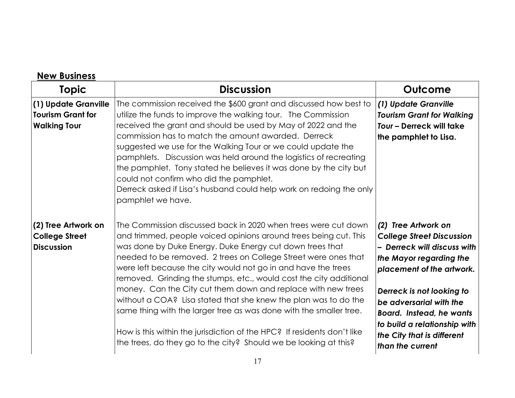| <b>Topic</b>                                                            | <b>Discussion</b>                                                                                                                                                                                                                                                                                                                                                                                                                                                                                                                                                                                                                                                                           | Outcome                                                                                                                                                                                                                                                                                                 |
|-------------------------------------------------------------------------|---------------------------------------------------------------------------------------------------------------------------------------------------------------------------------------------------------------------------------------------------------------------------------------------------------------------------------------------------------------------------------------------------------------------------------------------------------------------------------------------------------------------------------------------------------------------------------------------------------------------------------------------------------------------------------------------|---------------------------------------------------------------------------------------------------------------------------------------------------------------------------------------------------------------------------------------------------------------------------------------------------------|
| (1) Update Granville<br><b>Tourism Grant for</b><br><b>Walking Tour</b> | The commission received the \$600 grant and discussed how best to<br>utilize the funds to improve the walking tour. The Commission<br>received the grant and should be used by May of 2022 and the<br>commission has to match the amount awarded. Derreck<br>suggested we use for the Walking Tour or we could update the<br>pamphlets. Discussion was held around the logistics of recreating<br>the pamphlet. Tony stated he believes it was done by the city but<br>could not confirm who did the pamphlet.<br>Derreck asked if Lisa's husband could help work on redoing the only<br>pamphlet we have.                                                                                  | (1) Update Granville<br><b>Tourism Grant for Walking</b><br>Tour - Derreck will take<br>the pamphlet to Lisa.                                                                                                                                                                                           |
| (2) Tree Artwork on<br><b>College Street</b><br><b>Discussion</b>       | The Commission discussed back in 2020 when trees were cut down<br>and trimmed, people voiced opinions around trees being cut. This<br>was done by Duke Energy. Duke Energy cut down trees that<br>needed to be removed. 2 trees on College Street were ones that<br>were left because the city would not go in and have the trees<br>removed. Grinding the stumps, etc., would cost the city additional<br>money. Can the City cut them down and replace with new trees<br>without a COA? Lisa stated that she knew the plan was to do the<br>same thing with the larger tree as was done with the smaller tree.<br>How is this within the jurisdiction of the HPC? If residents don't like | (2) Tree Artwork on<br><b>College Street Discussion</b><br>- Derreck will discuss with<br>the Mayor regarding the<br>placement of the artwork.<br>Derreck is not looking to<br>be adversarial with the<br><b>Board.</b> Instead, he wants<br>to build a relationship with<br>the City that is different |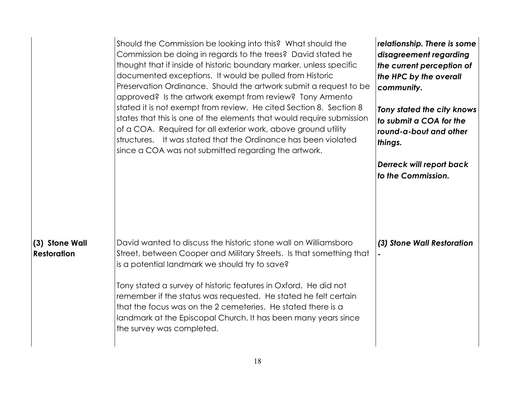|                                      | Should the Commission be looking into this? What should the<br>Commission be doing in regards to the trees? David stated he<br>thought that if inside of historic boundary marker, unless specific<br>documented exceptions. It would be pulled from Historic<br>Preservation Ordinance. Should the artwork submit a request to be<br>approved? Is the artwork exempt from review? Tony Armento<br>stated it is not exempt from review. He cited Section 8. Section 8<br>states that this is one of the elements that would require submission<br>of a COA. Required for all exterior work, above ground utility<br>structures. It was stated that the Ordinance has been violated<br>since a COA was not submitted regarding the artwork. | relationship. There is some<br>disagreement regarding<br>the current perception of<br>the HPC by the overall<br>community.<br>Tony stated the city knows<br>to submit a COA for the<br>round-a-bout and other<br>things.<br>Derreck will report back<br>to the Commission. |
|--------------------------------------|--------------------------------------------------------------------------------------------------------------------------------------------------------------------------------------------------------------------------------------------------------------------------------------------------------------------------------------------------------------------------------------------------------------------------------------------------------------------------------------------------------------------------------------------------------------------------------------------------------------------------------------------------------------------------------------------------------------------------------------------|----------------------------------------------------------------------------------------------------------------------------------------------------------------------------------------------------------------------------------------------------------------------------|
| (3) Stone Wall<br><b>Restoration</b> | David wanted to discuss the historic stone wall on Williamsboro<br>Street, between Cooper and Military Streets. Is that something that<br>is a potential landmark we should try to save?<br>Tony stated a survey of historic features in Oxford. He did not<br>remember if the status was requested. He stated he felt certain<br>that the focus was on the 2 cemeteries. He stated there is a<br>landmark at the Episcopal Church. It has been many years since<br>the survey was completed.                                                                                                                                                                                                                                              | (3) Stone Wall Restoration                                                                                                                                                                                                                                                 |